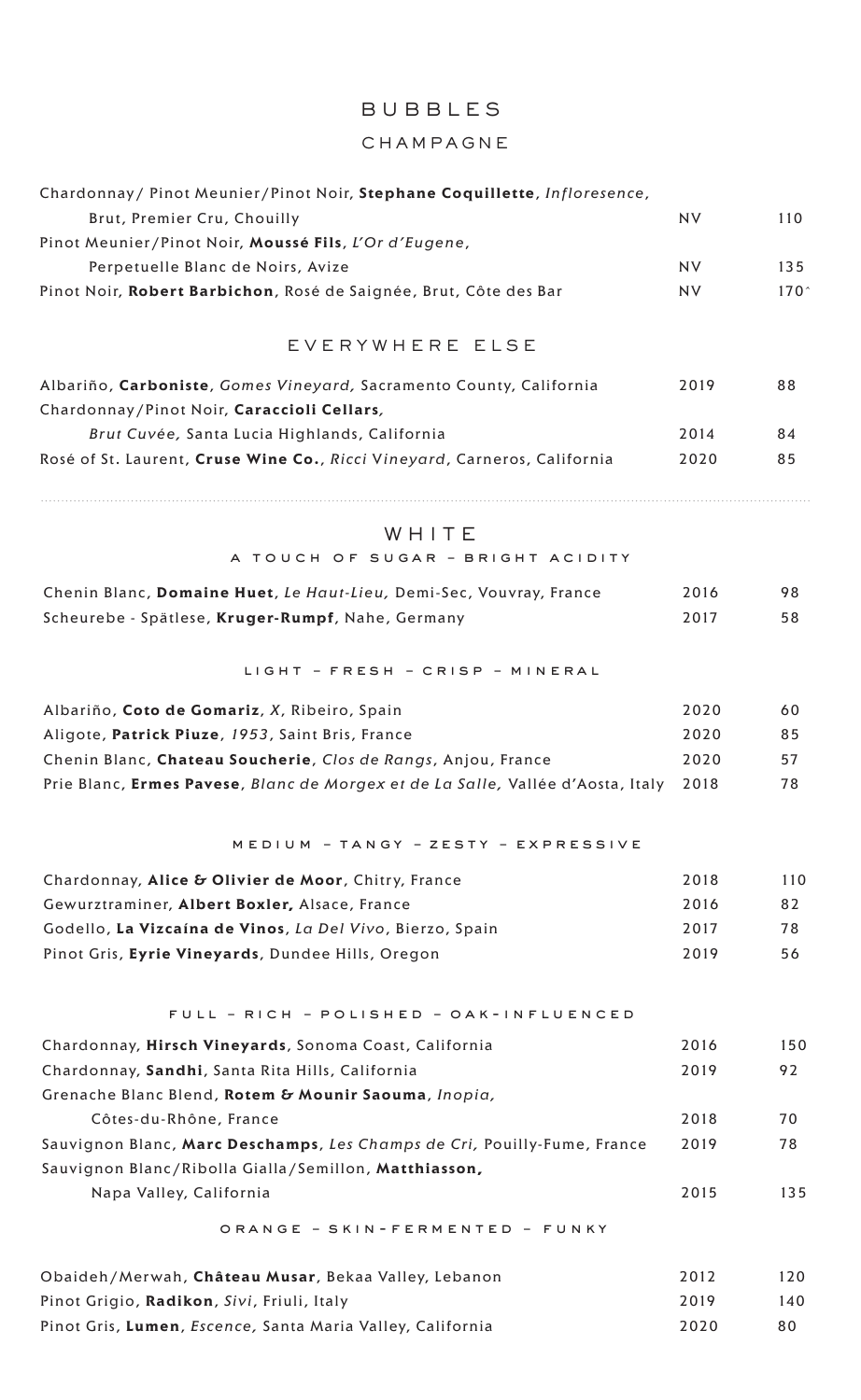# BUBBLES

# CHAMPAGNE

| Chardonnay / Pinot Meunier / Pinot Noir, Stephane Coquillette, Infloresence,    |           |                  |
|---------------------------------------------------------------------------------|-----------|------------------|
| Brut, Premier Cru, Chouilly                                                     | <b>NV</b> | 110              |
| Pinot Meunier/Pinot Noir, Moussé Fils, L'Or d'Eugene,                           |           |                  |
| Perpetuelle Blanc de Noirs, Avize                                               | <b>NV</b> | 135              |
| Pinot Noir, Robert Barbichon, Rosé de Saignée, Brut, Côte des Bar               | <b>NV</b> | 170 <sup>°</sup> |
|                                                                                 |           |                  |
| EVERYWHERE ELSE                                                                 |           |                  |
| Albariño, Carboniste, Gomes Vineyard, Sacramento County, California             | 2019      | 88               |
| Chardonnay/Pinot Noir, Caraccioli Cellars,                                      |           |                  |
| Brut Cuvée, Santa Lucia Highlands, California                                   | 2014      | 84               |
| Rosé of St. Laurent, Cruse Wine Co., Ricci Vineyard, Carneros, California       | 2020      | 85               |
| WHITE                                                                           |           |                  |
| A TOUCH OF SUGAR - BRIGHT ACIDITY                                               |           |                  |
| Chenin Blanc, Domaine Huet, Le Haut-Lieu, Demi-Sec, Vouvray, France             | 2016      | 98               |
| Scheurebe - Spätlese, Kruger-Rumpf, Nahe, Germany                               | 2017      | 58               |
|                                                                                 |           |                  |
| LIGHT - FRESH - CRISP - MINERAL                                                 |           |                  |
| Albariño, Coto de Gomariz, X, Ribeiro, Spain                                    | 2020      | 60               |
| Aligote, Patrick Piuze, 1953, Saint Bris, France                                | 2020      | 85               |
| Chenin Blanc, Chateau Soucherie, Clos de Rangs, Anjou, France                   | 2020      | 57               |
| Prie Blanc, Ermes Pavese, Blanc de Morgex et de La Salle, Vallée d'Aosta, Italy | 2018      | 78               |
|                                                                                 |           |                  |
| MEDIUM - TANGY - ZESTY - EXPRESSIVE                                             |           |                  |
| Chardonnay, Alice & Olivier de Moor, Chitry, France                             | 2018      | 110              |
| Gewurztraminer, Albert Boxler, Alsace, France                                   | 2016      | 82               |
| Godello, La Vizcaína de Vinos, La Del Vivo, Bierzo, Spain                       | 2017      | 78               |
| Pinot Gris, Eyrie Vineyards, Dundee Hills, Oregon                               | 2019      | 56               |
| FULL - RICH - POLISHED - OAK-INFLUENCED                                         |           |                  |
| Chardonnay, Hirsch Vineyards, Sonoma Coast, California                          | 2016      | 150              |
| Chardonnay, Sandhi, Santa Rita Hills, California                                | 2019      | 92               |
| Grenache Blanc Blend, Rotem & Mounir Saouma, Inopia,                            |           |                  |
| Côtes-du-Rhône, France                                                          | 2018      | 70               |
| Sauvignon Blanc, Marc Deschamps, Les Champs de Cri, Pouilly-Fume, France        | 2019      | 78               |
| Sauvignon Blanc/Ribolla Gialla/Semillon, Matthiasson,                           |           |                  |
| Napa Valley, California                                                         | 2015      | 135              |
|                                                                                 |           |                  |
| ORANGE - SKIN-FERMENTED - FUNKY                                                 |           |                  |
| Obaideh/Merwah, Château Musar, Bekaa Valley, Lebanon                            | 2012      | 120              |
| Pinot Grigio, Radikon, Sivi, Friuli, Italy                                      | 2019      | 140              |

Pinot Gris, Lumen, *Escence*, Santa Maria Valley, California **1998** 19920 19920